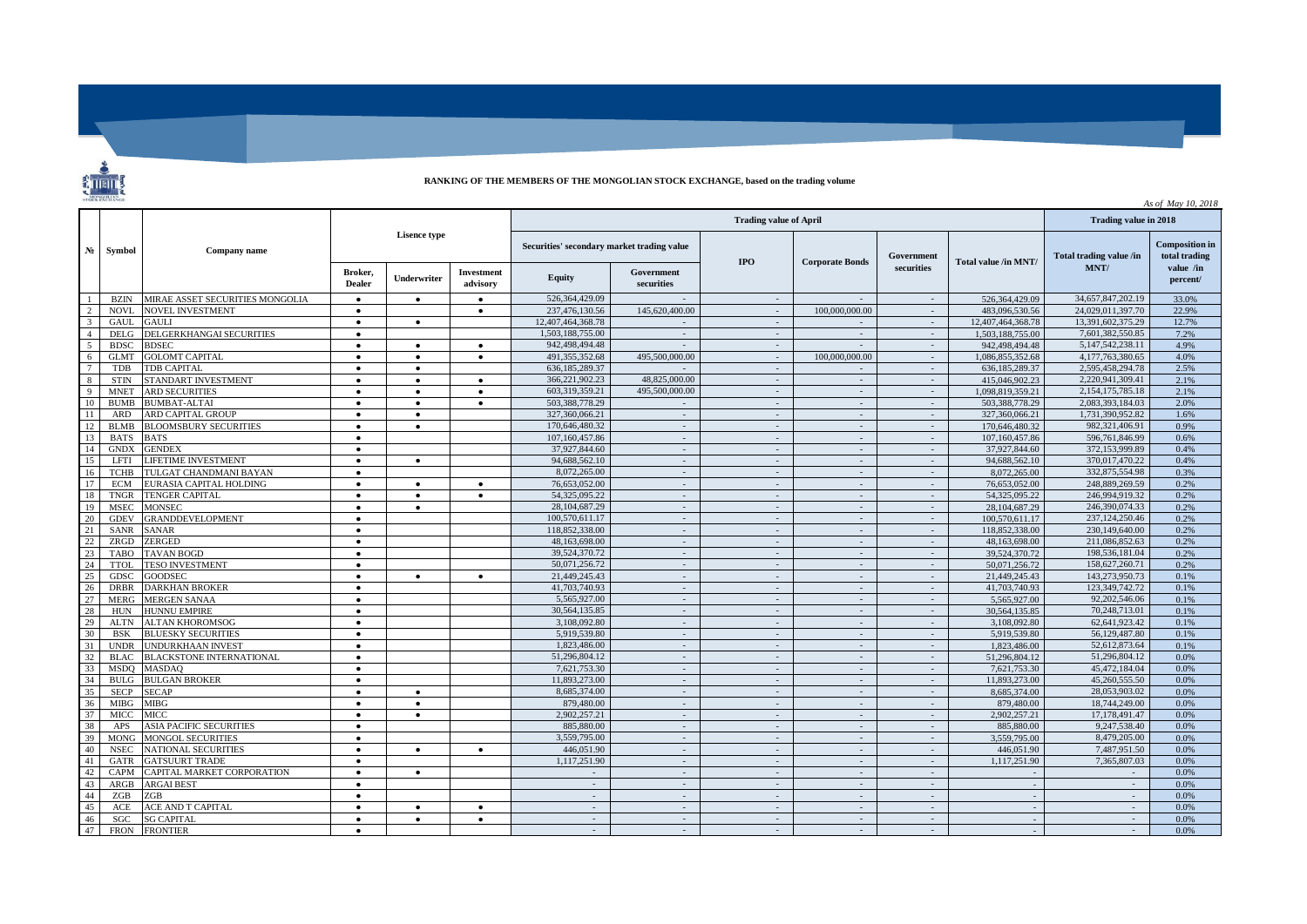## **RANKING OF THE MEMBERS OF THE MONGOLIAN STOCK EXCHANGE, based on the trading volume**

 $\overline{\phantom{a}}$ 

|                |             |                                 |                          |                    |                                            |                   |                          |                        |                |                      | As of May 10, 2018      |                                        |                       |
|----------------|-------------|---------------------------------|--------------------------|--------------------|--------------------------------------------|-------------------|--------------------------|------------------------|----------------|----------------------|-------------------------|----------------------------------------|-----------------------|
|                | Symbol      | Company name                    |                          |                    |                                            |                   | Trading value in 2018    |                        |                |                      |                         |                                        |                       |
| $N_2$          |             |                                 | <b>Lisence type</b>      |                    | Securities' secondary market trading value |                   | $_{\rm IPO}$             | <b>Corporate Bonds</b> | Government     | Total value /in MNT/ | Total trading value /in | <b>Composition in</b><br>total trading |                       |
|                |             |                                 | Broker,<br><b>Dealer</b> | <b>Underwriter</b> | Investment<br>advisory                     | <b>Equity</b>     | Government<br>securities |                        |                | securities           |                         | MNT/                                   | value /in<br>percent/ |
|                | <b>BZIN</b> | MIRAE ASSET SECURITIES MONGOLIA | $\bullet$                | $\bullet$          |                                            | 526,364,429.09    |                          | $\sim$                 | $\sim$         | $\sim$               | 526.364.429.09          | 34,657,847,202.19                      | 33.0%                 |
| $\mathcal{D}$  | <b>NOVI</b> | <b>NOVEL INVESTMENT</b>         |                          |                    |                                            | 237.476.130.56    | 145,620,400.00           | $\sim$                 | 100.000.000.00 | $\sim$               | 483,096,530.56          | 24.029.011.397.70                      | 22.9%                 |
| $\mathcal{R}$  | <b>GAUL</b> | <b>GAULI</b>                    | $\bullet$                |                    |                                            | 12.407.464.368.78 |                          | $\omega$               |                | $\sim$               | 12.407.464.368.78       | 13.391.602.375.29                      | 12.7%                 |
| $\overline{A}$ | <b>DELG</b> | DELGERKHANGAI SECURITIES        | $\bullet$                |                    |                                            | 1.503.188.755.00  | $\sim$                   | $\sim$                 | $\sim$         | $\sim$               | 1.503.188.755.00        | 7,601,382,550.85                       | 7.2%                  |
| $\overline{5}$ | <b>BDSC</b> | <b>BDSEC</b>                    | $\bullet$                | $\bullet$          | $\bullet$                                  | 942,498,494.48    |                          | $\sim$                 | $\sim$         | $\sim$               | 942,498,494.48          | 5.147.542.238.11                       | 4.9%                  |
| 6              | <b>GLMT</b> | <b>GOLOMT CAPITAL</b>           |                          | $\bullet$          |                                            | 491.355.352.68    | 495,500,000.00           | $\sim$                 | 100,000,000,00 | $\sim$               | 1.086.855.352.68        | 4.177.763.380.65                       | 4.0%                  |
|                | TDB         | TDB CAPITAL                     | $\bullet$                | $\bullet$          |                                            | 636,185,289.37    |                          | $\sim$                 | $\sim$         | $\sim$               | 636,185,289.37          | 2,595,458,294.78                       | 2.5%                  |
| 8              | <b>STIN</b> | STANDART INVESTMENT             | $\bullet$                | $\bullet$          | $\bullet$                                  | 366,221,902.23    | 48,825,000.00            | $\sim$                 | $\sim$         | $\sim$               | 415.046.902.23          | 2,220,941,309.41                       | 2.1%                  |
| $\mathbf{Q}$   | <b>MNET</b> | <b>ARD SECURITIES</b>           | $\bullet$                | $\bullet$          | $\bullet$                                  | 603.319.359.21    | 495,500,000.00           | $\sim$                 | $\sim$         | $\sim$               | 1,098,819,359.21        | 2,154,175,785.18                       | 2.1%                  |
| 10             | <b>BUMB</b> | <b>BUMBAT-ALTAI</b>             |                          | ٠                  |                                            | 503,388,778.29    |                          | $\sim$                 | $\sim$         |                      | 503,388,778.29          | 2,083,393,184.03                       | 2.0%                  |
| 11             | <b>ARD</b>  | <b>ARD CAPITAL GROUP</b>        | $\bullet$                | $\bullet$          |                                            | 327,360,066.21    | $\sim$                   | $\sim$                 | $\sim$         | $\sim$               | 327.360.066.21          | 1,731,390,952.82                       | 1.6%                  |
| 12             | <b>BLMB</b> | <b>BLOOMSBURY SECURITIES</b>    | $\bullet$                | $\bullet$          |                                            | 170,646,480.32    | $\sim$                   | $\sim$                 | $\sim$         | $\sim$               | 170,646,480.32          | 982,321,406.91                         | 0.9%                  |
| 13             | <b>BATS</b> | <b>BATS</b>                     |                          |                    |                                            | 107.160.457.86    | $\sim$                   | $\sim$                 | $\sim$         | $\sim$               | 107.160.457.86          | 596,761,846.99                         | 0.6%                  |
| 14             | <b>GNDX</b> | <b>GENDEX</b>                   | $\bullet$                |                    |                                            | 37,927,844.60     | $\sim$                   | $\mathbf{r}$           | $\sim$         | $\sim$               | 37,927,844.60           | 372,153,999.89                         | 0.4%                  |
| 15             | LFTI        | LIFETIME INVESTMENT             | $\bullet$                | $\bullet$          |                                            | 94,688,562.10     | $\sim$                   | $\sim$                 | $\sim$         | $\sim$               | 94,688,562.10           | 370,017,470.22                         | 0.4%                  |
| 16             | <b>TCHB</b> | TULGAT CHANDMANI BAYAN          | $\bullet$                |                    |                                            | 8,072,265,00      | $\sim$                   | $\sim$                 | $\sim$         | $\sim$               | 8.072.265.00            | 332,875,554.98                         | 0.3%                  |
| 17             | <b>ECM</b>  | EURASIA CAPITAL HOLDING         | $\bullet$                | $\bullet$          |                                            | 76,653,052.00     | $\sim$                   | $\sim$                 | $\sim$         | $\sim$               | 76,653,052.00           | 248,889,269.59                         | 0.2%                  |
| 18             | <b>TNGR</b> | <b>TENGER CAPITAL</b>           | $\bullet$                | $\bullet$          | $\bullet$                                  | 54.325.095.22     | $\sim$                   | $\sim$                 | $\sim$         | $\sim$               | 54,325,095.22           | 246.994.919.32                         | 0.2%                  |
| 19             | <b>MSEC</b> | <b>MONSEC</b>                   |                          | ٠                  |                                            | 28,104,687.29     | $\sim$                   | $\sim$                 | $\sim$         | $\sim$               | 28,104,687.29           | 246,390,074.33                         | 0.2%                  |
| 20             | <b>GDEV</b> | <b>GRANDDEVELOPMENT</b>         | $\bullet$                |                    |                                            | 100.570.611.17    | $\sim$                   | $\sim$                 | $\sim$         | $\sim$               | 100.570.611.17          | 237.124.250.46                         | 0.2%                  |
| 21             | <b>SANR</b> | <b>SANAR</b>                    | $\bullet$                |                    |                                            | 118,852,338.00    | $\sim$                   | $\sim$                 | $\sim$         |                      | 118,852,338.00          | 230.149.640.00                         | 0.2%                  |
| 22             | ZRGD        | ZERGED                          | $\bullet$                |                    |                                            | 48.163.698.00     | $\sim$                   | $\sim$                 | $\sim$         | $\sim$               | 48,163,698,00           | 211.086.852.63                         | 0.2%                  |
| 23             | <b>TABO</b> | <b>TAVAN BOGD</b>               | $\bullet$                |                    |                                            | 39.524.370.72     | $\sim$                   | $\sim$                 | $\sim$         | $\sim$               | 39.524.370.72           | 198,536,181.04                         | 0.2%                  |
| 24             | <b>TTOL</b> | <b><i>TESO INVESTMENT</i></b>   | $\bullet$                |                    |                                            | 50,071,256.72     | $\sim$                   | $\sim$                 | $\sim$         | $\sim$               | 50.071.256.72           | 158,627,260.71                         | 0.2%                  |
| 25             | <b>GDSC</b> | <b>GOODSEC</b>                  | $\bullet$                |                    |                                            | 21,449,245.43     | $\sim$                   | $\sim$                 | $\sim$         | $\sim$               | 21.449.245.43           | 143,273,950.73                         | 0.1%                  |
| 26             | <b>DRBR</b> | <b>DARKHAN BROKER</b>           | $\bullet$                |                    |                                            | 41,703,740.93     | $\sim$                   | $\sim$                 | $\sim$         | $\sim$               | 41,703,740.93           | 123,349,742.72                         | 0.1%                  |
| 27             | <b>MERG</b> | <b>MERGEN SANAA</b>             | $\bullet$                |                    |                                            | 5,565,927.00      | $\sim$                   | $\sim$                 | $\sim$         | $\sim$               | 5,565,927.00            | 92,202,546.06                          | 0.1%                  |
| 28             | <b>HUN</b>  | <b>HUNNU EMPIRE</b>             |                          |                    |                                            | 30,564,135.85     | $\sim$                   | $\omega$               | ÷.             | $\omega$             | 30.564.135.85           | 70,248,713.01                          | 0.1%                  |
| 29             | <b>ALTN</b> | ALTAN KHOROMSOG                 | $\bullet$                |                    |                                            | 3,108,092.80      | $\sim$                   | $\sim$                 | $\sim$         | $\sim$               | 3,108,092.80            | 62,641,923.42                          | 0.1%                  |
| 30             | <b>BSK</b>  | <b>BLUESKY SECURITIES</b>       | $\bullet$                |                    |                                            | 5,919,539.80      | $\sim$                   | $\sim$                 | $\sim$         | $\sim$               | 5.919.539.80            | 56,129,487.80                          | 0.1%                  |
| 31             | <b>UNDR</b> | <b>UNDURKHAAN INVEST</b>        | $\bullet$                |                    |                                            | 1,823,486.00      | $\sim$                   | $\sim$                 | $\sim$         | $\sim$               | 1,823,486.00            | 52.612.873.64                          | 0.1%                  |
| 32             | BLAC        | <b>BLACKSTONE INTERNATIONAL</b> | $\bullet$                |                    |                                            | 51.296.804.12     | $\sim$                   | ÷.                     | $\sim$         |                      | 51.296.804.12           | 51.296.804.12                          | 0.0%                  |
| 33             | <b>MSDO</b> | <b>MASDAQ</b>                   | $\bullet$                |                    |                                            | 7,621,753.30      | $\sim$                   | $\sim$                 | $\sim$         | $\sim$               | 7,621,753.30            | 45,472,184.04                          | 0.0%                  |
| 34             | <b>BULG</b> | <b>BULGAN BROKER</b>            | $\bullet$                |                    |                                            | 11.893.273.00     | $\sim$                   | $\sim$                 | $\sim$         | $\sim$               | 11.893.273.00           | 45.260.555.50                          | 0.0%                  |
| 35             | <b>SECP</b> | <b>SECAP</b>                    | $\bullet$                | $\bullet$          |                                            | 8,685,374.00      | $\sim$                   | $\sim$                 | $\sim$         |                      | 8,685,374.00            | 28.053.903.02                          | 0.0%                  |
| 36             | <b>MIBG</b> | <b>MIBG</b>                     | $\bullet$                | $\bullet$          |                                            | 879,480.00        | $\sim$                   | $\sim$                 | $\sim$         | $\sim$               | 879,480.00              | 18,744,249.00                          | 0.0%                  |
| 37             | <b>MICC</b> | MICC.                           | $\bullet$                | $\bullet$          |                                            | 2.902.257.21      | $\sim$                   | $\sim$                 | $\sim$         | $\sim$               | 2.902.257.21            | 17,178,491.47                          | 0.0%                  |
| 38             | <b>APS</b>  | <b>ASIA PACIFIC SECURITIES</b>  | $\bullet$                |                    |                                            | 885,880,00        | $\sim$                   | $\sim$                 | $\sim$         | $\sim$               | 885,880,00              | 9,247,538.40                           | 0.0%                  |
| 39             | <b>MONG</b> | <b>MONGOL SECURITIES</b>        | $\bullet$                |                    |                                            | 3.559.795.00      | $\sim$                   | $\omega$               | ÷.             |                      | 3.559.795.00            | 8,479,205.00                           | 0.0%                  |
| 40             | <b>NSEC</b> | <b>NATIONAL SECURITIES</b>      | $\bullet$                | $\bullet$          | $\bullet$                                  | 446,051.90        | $\sim$                   | $\sim$                 | $\sim$         | $\sim$               | 446,051.90              | 7.487.951.50                           | 0.0%                  |
| 41             | GATR        | <b>GATSUURT TRADE</b>           |                          |                    |                                            | 1.117.251.90      | $\sim$                   |                        | $\omega$       |                      | 1.117.251.90            | 7.365.807.03                           | 0.0%                  |
| 42             | CAPM        | CAPITAL MARKET CORPORATION      | $\bullet$                | $\bullet$          |                                            | $\sim$            | $\sim$                   | $\sim$                 | $\sim$         | $\sim$               | $\sim$                  | $\sim$                                 | 0.0%                  |
| 43             | ARGB        | <b>ARGAI BEST</b>               | $\bullet$                |                    |                                            | $\sim$            | $\sim$                   | $\sim$                 | $\sim$         | $\sim$               | $\sim$                  | $\sim$                                 | 0.0%                  |
| 44             | ZGB         | ZGB                             | $\bullet$                |                    |                                            | $\sim$            | $\sim$                   | $\sim$                 | $\sim$         | $\sim$               | $\sim$                  | $\sim$                                 | 0.0%                  |
| 45             | <b>ACE</b>  | ACE AND T CAPITAL               | $\bullet$                | $\bullet$          | $\bullet$                                  | $\sim$            | $\sim$                   | $\sim$                 | $\sim$         | $\sim$               | $\sim$                  | $\sim$                                 | 0.0%                  |
| 46             | SGC.        | <b>SG CAPITAL</b>               |                          | $\bullet$          |                                            | $\sim$            | $\sim$                   | $\sim$                 | $\sim$         | $\sim$               | $\sim$                  | $\sim$                                 | 0.0%                  |
| 47             | <b>FRON</b> | <b>FRONTIER</b>                 | $\bullet$                |                    |                                            | $\sim$            | $\sim$                   | $\sim$                 | $\sim$         | $\sim$               |                         | $\sim$                                 | 0.0%                  |